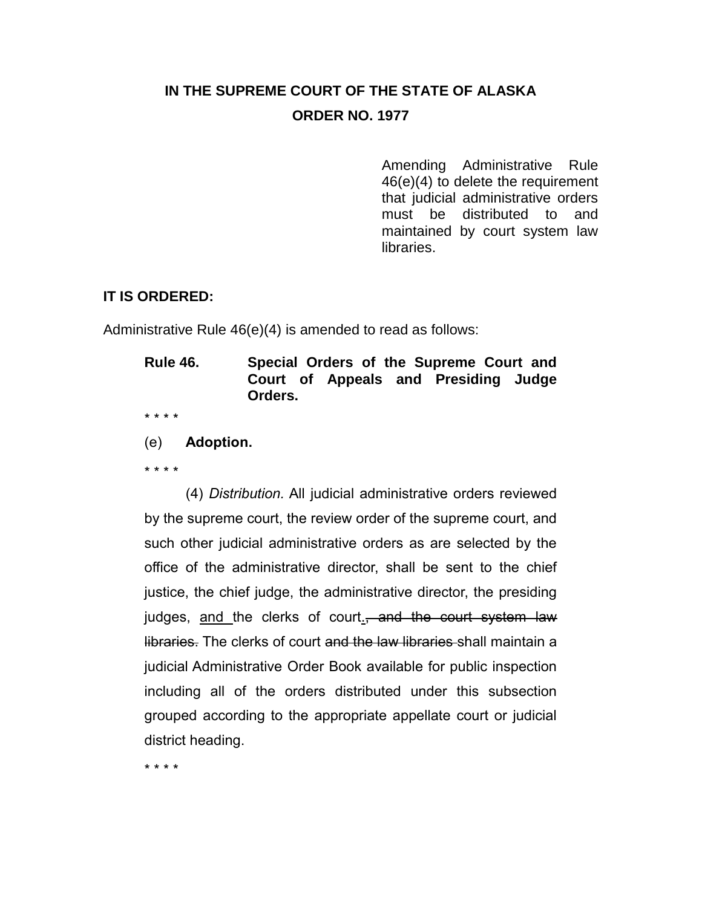## **IN THE SUPREME COURT OF THE STATE OF ALASKA ORDER NO. 1977**

Amending Administrative Rule 46(e)(4) to delete the requirement that judicial administrative orders must be distributed to and maintained by court system law libraries.

## **IT IS ORDERED:**

Administrative Rule 46(e)(4) is amended to read as follows:

**Rule 46. Special Orders of the Supreme Court and Court of Appeals and Presiding Judge Orders.**

\* \* \* \*

(e) **Adoption.**

\* \* \* \*

(4) *Distribution.* All judicial administrative orders reviewed by the supreme court, the review order of the supreme court, and such other judicial administrative orders as are selected by the office of the administrative director, shall be sent to the chief justice, the chief judge, the administrative director, the presiding judges, and the clerks of court<sub>-</sub>, and the court system law libraries. The clerks of court and the law libraries shall maintain a judicial Administrative Order Book available for public inspection including all of the orders distributed under this subsection grouped according to the appropriate appellate court or judicial district heading.

\* \* \* \*